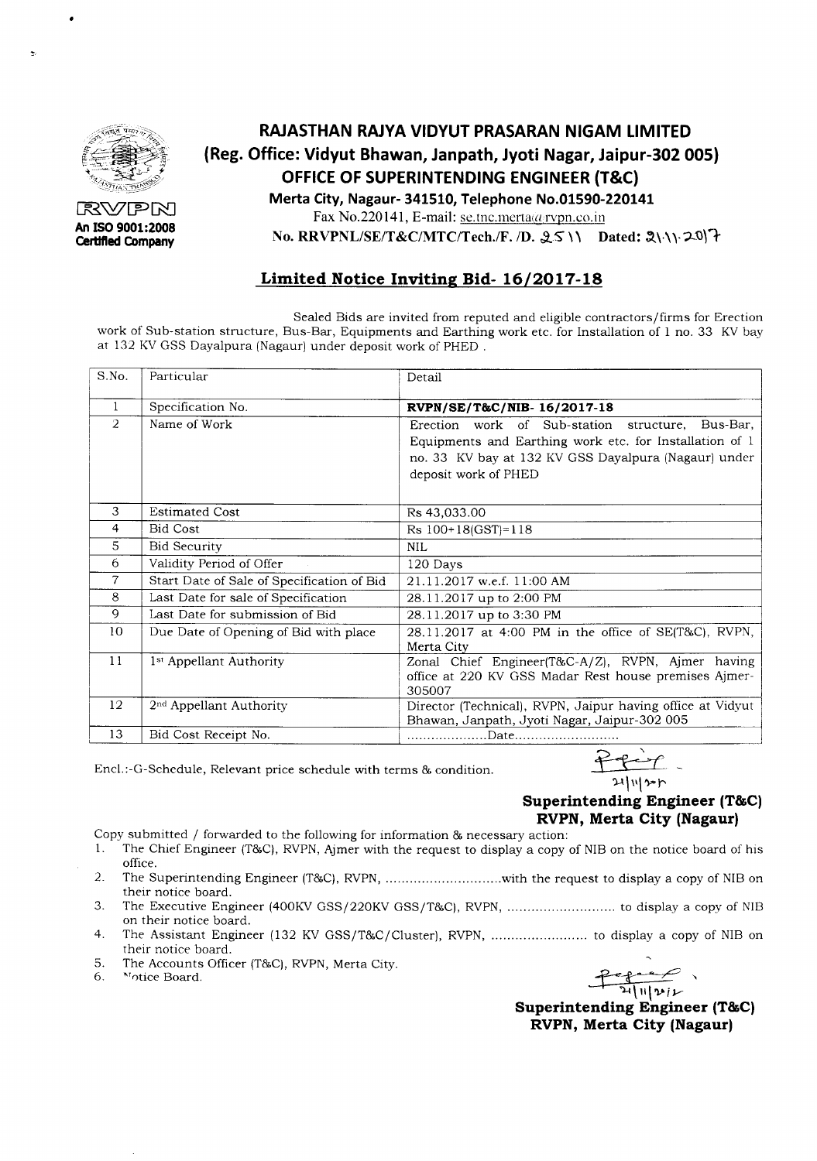

RV7PRI An **ISO 9001:2008 Certified Company**

## **RAJASTHAN RAJYA VIDYUT PRASARAN NIGAM LIMITED (Reg. Office: Vidyut Bhawan, Janpath, Jyoti Nagar, Jaipur-302 005) OFFICE OF SUPERINTENDING ENGINEER (T&C) Merta City, Nagaur- 341510, Telephone No.01590-220141**

Fax No.220141, E-mail: se.tnc.merta@rvpn.co.in

**No. RRVPNL/SE/T&C/MTC/Tech./F. /D. 25 \\ Dated: 2\\\. 20)<sup>1</sup>t** 

#### **Limited Notice Inviting Bid- 16/2017-18**

Sealed Bids are invited from reputed and eligible contractors/firms for Erection work of Sub-station structure, Bus-Bar, Equipments and Earthing work etc. for Installation of 1 no. 33 KV bay at 132 KVGSS Dayalpura (Nagaur) under deposit work of PHED .

| S.No.          | Particular                                 | Detail                                                                                                                                                                                               |
|----------------|--------------------------------------------|------------------------------------------------------------------------------------------------------------------------------------------------------------------------------------------------------|
| 1              | Specification No.                          | RVPN/SE/T&C/NIB-16/2017-18                                                                                                                                                                           |
| $\overline{2}$ | Name of Work                               | Bus-Bar,<br>work of Sub-station<br>Erection<br>structure,<br>Equipments and Earthing work etc. for Installation of 1<br>no. 33 KV bay at 132 KV GSS Dayalpura (Nagaur) under<br>deposit work of PHED |
| 3              | <b>Estimated Cost</b>                      | Rs 43,033.00                                                                                                                                                                                         |
| 4              | <b>Bid Cost</b>                            | $Rs$ 100+18(GST)=118                                                                                                                                                                                 |
| 5              | <b>Bid Security</b>                        | <b>NIL</b>                                                                                                                                                                                           |
| 6              | Validity Period of Offer                   | 120 Days                                                                                                                                                                                             |
| $\overline{7}$ | Start Date of Sale of Specification of Bid | 21.11.2017 w.e.f. 11:00 AM                                                                                                                                                                           |
| 8              | Last Date for sale of Specification        | 28.11.2017 up to 2:00 PM                                                                                                                                                                             |
| $\mathbf Q$    | Last Date for submission of Bid            | 28.11.2017 up to 3:30 PM                                                                                                                                                                             |
| 10             | Due Date of Opening of Bid with place      | 28.11.2017 at 4:00 PM in the office of SE(T&C), RVPN,<br>Merta City                                                                                                                                  |
| 11             | 1 <sup>st</sup> Appellant Authority        | Zonal Chief Engineer(T&C-A/Z), RVPN, Ajmer having<br>office at 220 KV GSS Madar Rest house premises Ajmer-<br>305007                                                                                 |
| 12             | 2 <sup>nd</sup> Appellant Authority        | Director (Technical), RVPN, Jaipur having office at Vidyut<br>Bhawan, Janpath, Jyoti Nagar, Jaipur-302 005                                                                                           |
| 13             | Bid Cost Receipt No.                       |                                                                                                                                                                                                      |

Encl.:-G-Schedule, Relevant price schedule with terms & condition.

# 21|11|sr

#### **Superintending Engineer (T&C) RVPN, Merta City (Nagaur)**

Copy submitted / forwarded to the following for information & necessary action:

- 1. The Chief Engineer (T&C), RVPN, Ajmer with the request to display a copy of NIB on the notice board of his office.
- 2. The Superintending Engineer (T&C),RVPN, with the request to display a copy of NIBon their notice board.
- 3. The Executive Engineer (400KVGSSj220KV GSSjT&C), RVPN, to display a copy of NIB on their notice board.
- 4. The Assistant Engineer (132 KV GSSjT&C/Cluster), RVPN, to display a copy of NIB on their notice board.
- S. The Accounts Officer (T&C),RVPN,Merta City. 6. ~T()ticeBoard. ::e:;~ ,

*~~v*

**Superintending Engineer (T&C) RVPN, Merta City (Nagaur)**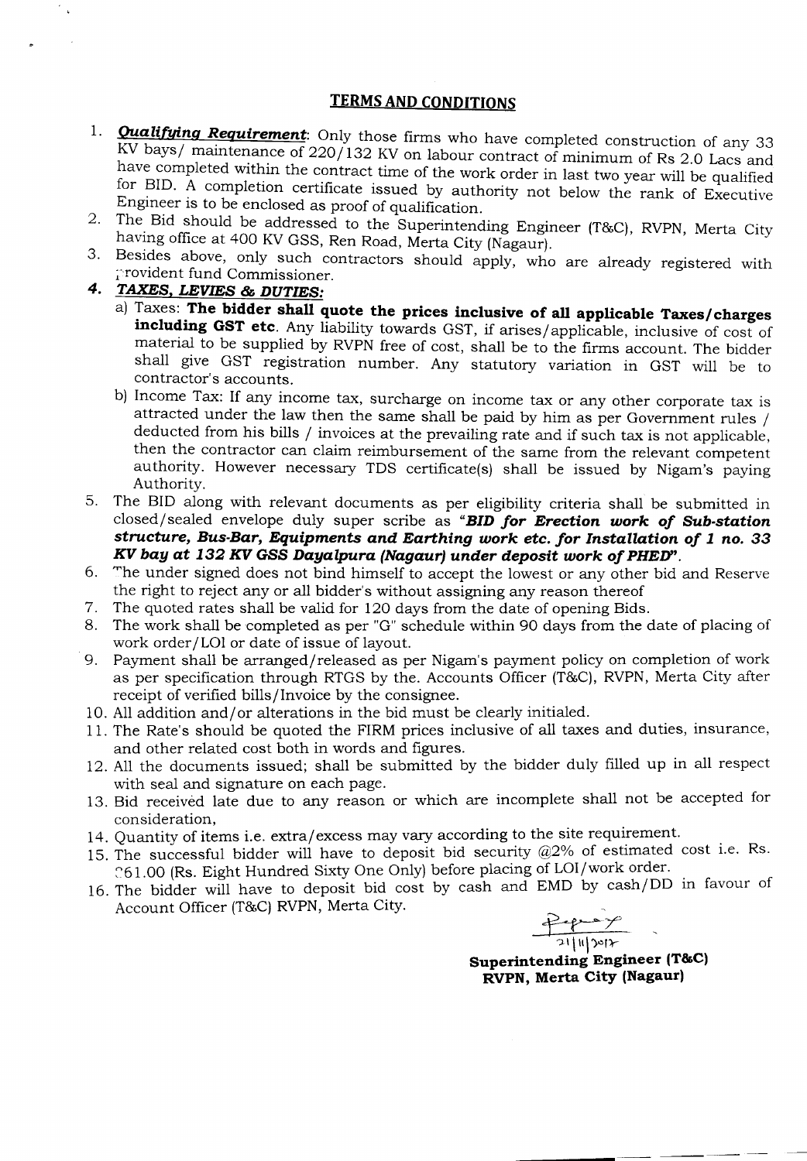#### **TERMS AND CONDITIONS**

- 1. **Qualifying Requirement**: Only those firms who have completed construction of any 33 KV bays/ maintenance of 220/132 KV on labour contract of minimum of Rs 2.0 Lacs and have completed within the contract time of the work order in last two year will be qualified for BID. A completion certificate issued by authority not below the rank of Executive Engineer is to be enclosed as proof of qualification.
- 2. The Bid should be addressed to the Superintending Engineer (T&C), RVPN, Merta City having office at 400 KV GSS, Ren Road, Merta City (Nagaur).
- 3. Besides above, only such contractors should apply, who are already registered with provident fund Commissioner.
- *4. TAXES, LEVIES* **&** *DUTIES:*
	- a) Taxes: **The bidder shall quote the prices inclusive of all applicable Taxes/charges including GST etc.** Any liability towards GST, if arises/applicable, inclusive of cost of material to be supplied by RVPN free of cost, shall be to the firms account. The bidder shall give GST registration number. Any statutory variation in GST will be to contractor's accounts.
	- b) Income Tax: If any income tax, surcharge on income tax or any other corporate tax is attracted under the law then the same shall be paid by him as per Government rules / deducted from his bills / invoices at the prevailing rate and if such tax is not applicable, then the contractor can claim reimbursement of the same from the relevant competent authority. However necessary TDS certificate(s) shall be issued by Nigam's paying Authority.
- 5. The BID along with relevant documents as per eligibility criteria shall be submitted in closed/sealed envelope duly super scribe as *"BID for Erection work of Sub-station structure, Bus-Bar, Equipments and Earthing work etc. for Installation of* **1** *no. 33 KV bay* **at 132** *KV* **GSS** *Dayalpura (Nagaur) under deposit work of PHED".*
- 6. The under signed does not bind himself to accept the lowest or any other bid and Reserve the right to reject any or all bidder's without assigning any reason thereof
- 7. The quoted rates shall be valid for 120 days from the date of opening Bids.
- 8. The work shall be completed as per "G" schedule within 90 days from the date of placing of work order/LOI or date of issue of layout.
- 9. Payment shall be arranged/released as per Nigam's payment policy on completion of work as per specification through RTGS by the. Accounts Officer (T&C), RVPN, Merta City after receipt of verified bills/Invoice by the consignee.
- 10. All addition and/ or alterations in the bid must be clearly initialed.
- 11. The Rate's should be quoted the FIRM prices inclusive of all taxes and duties, insurance, and other related cost both in words and figures.
- 12. All the documents issued; shall be submitted by the bidder duly filled up in all respect with seal and signature on each page.
- 13. Bid received late due to any reason or which are incomplete shall not be accepted for consideration, . .
- 14. Quantity of items i.e. extra/excess may vary according to the site requirement.
- 15. The successful bidder will have to deposit bid security  $@2\%$  of estimated cost i.e. Rs. 261.00 (Rs. Eight Hundred Sixty One Only) before placing of LOI/work order.
- 16. The bidder will have to deposit bid cost by cash and EMD by cash/DD in favour of Account Officer (T&C) RVPN, Merta City.

 $\frac{24.7}{21|1|21}$ 

**Superintending Engineer (T&C) RVPN, Merta City (Nagaur)**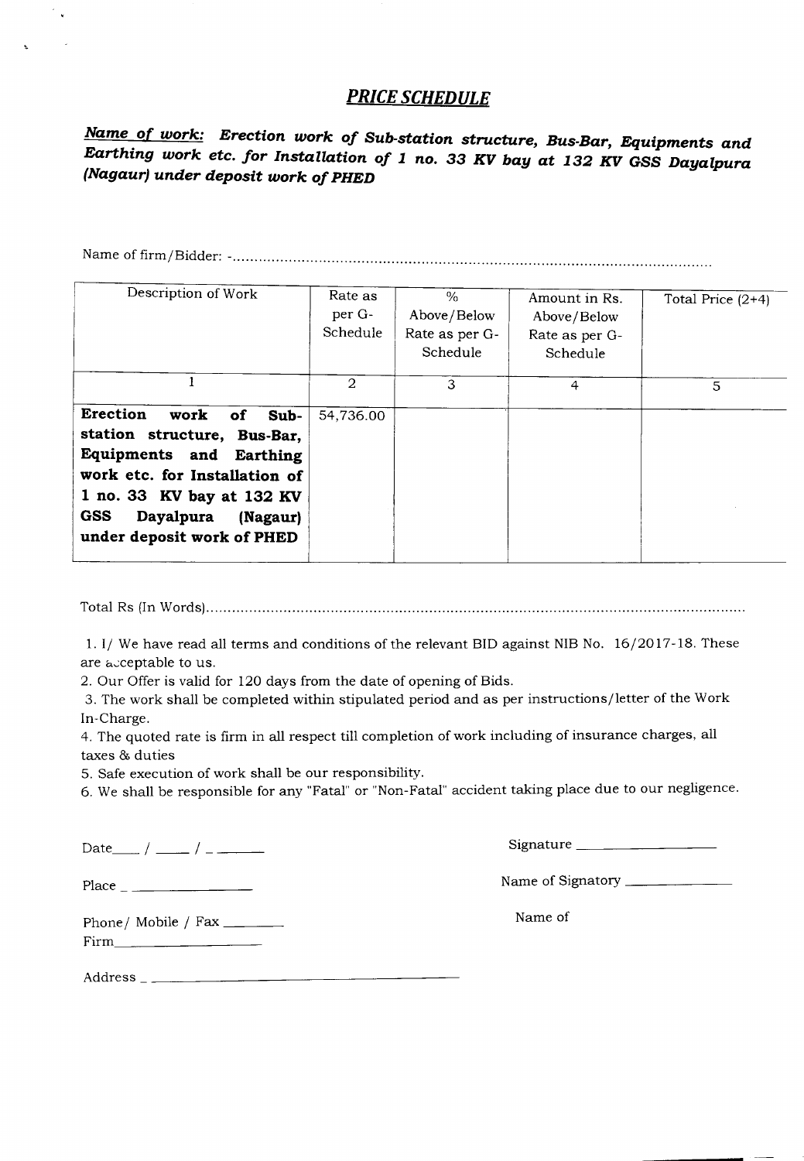### *PRICE SCHEDULE*

*Name. of work: Erection work of Sub-station structure, Bus-Bar, Equipments and Earthing work etc. for Installation of* **1** *no.* **33** *KV bay* **at 132** *KV GSS Dayalpura (Nagaur)under deposit work of PHED*

Name of firm/Bidder: - **................................................................................................................**

| Description of Work                                                                                                                                                                                                         | Rate as<br>per G-<br>Schedule | $\frac{0}{n}$<br>Above/Below<br>Rate as per G-<br>Schedule | Amount in Rs.<br>Above/Below<br>Rate as per G-<br>Schedule | Total Price $(2+4)$ |
|-----------------------------------------------------------------------------------------------------------------------------------------------------------------------------------------------------------------------------|-------------------------------|------------------------------------------------------------|------------------------------------------------------------|---------------------|
|                                                                                                                                                                                                                             | 2                             | 3                                                          | $\overline{4}$                                             | 5                   |
| Erection<br>work<br>0f<br>Sub-<br>station structure, Bus-Bar,<br>Equipments and Earthing<br>work etc. for Installation of<br>1 no. 33 KV bay at 132 KV<br><b>GSS</b><br>Dayalpura<br>(Nagaur)<br>under deposit work of PHED | 54,736.00                     |                                                            |                                                            |                     |

Total Rs (In Words) .

l.I/ We have read all terms and conditions of the relevant BID against NIBNo. 16/2017-18. These are acceptable to us.

2. Our Offer is valid for 120 days from the date of opening of Bids.

3. The work shall be completed within stipulated period and as per instructions/letter of the Work In-Charge.

4. The quoted rate is firm in all respect till completion of work including of insurance charges, all taxes & duties

5. Safe execution of work shall be our responsibility.

6. We shall be responsible for any "Fatal" or "Non-Fatal" accident taking place due to our negligence.

Date  $/$   $/$   $-$  /  $/$   $-$ 

 $\mathcal{C}_{\mathbf{v}}$ 

Signature \_\_\_\_\_\_\_\_\_\_\_\_\_\_\_\_

Place Name of Signatory \_

Name of

Phone/ Mobile / Fax \_\_\_\_\_\_\_

Firm \_

Address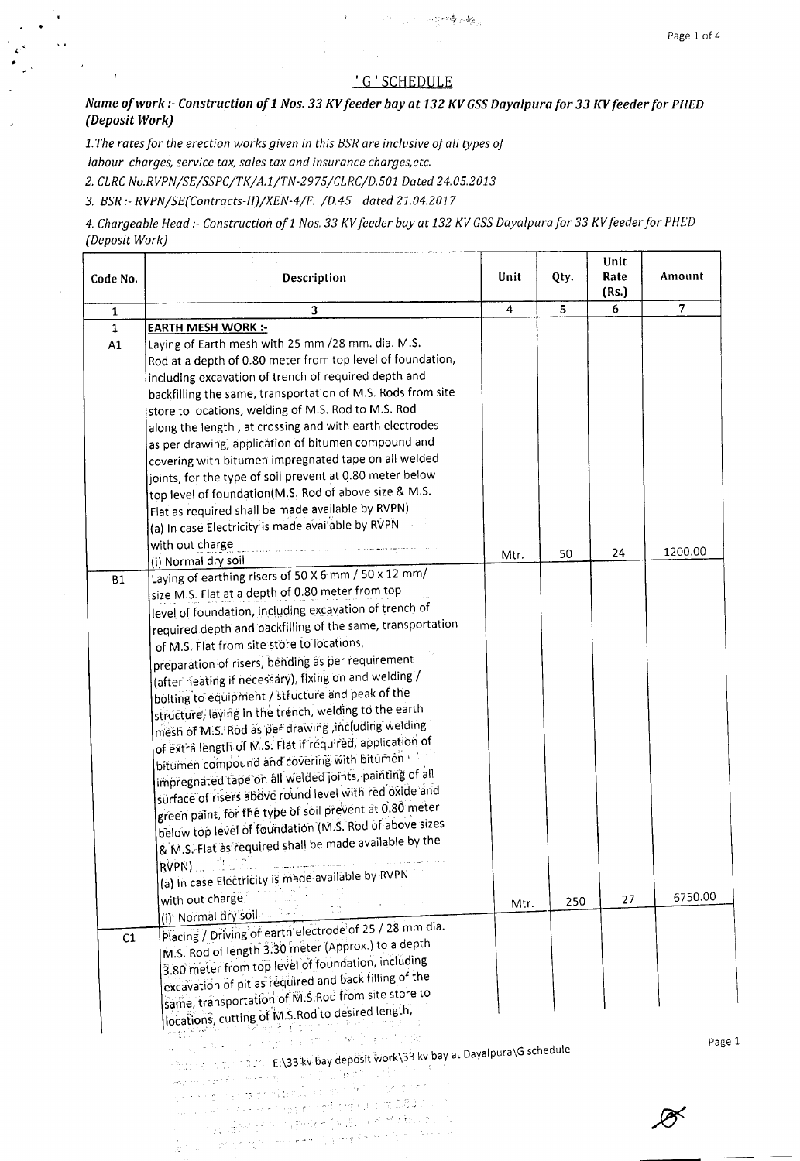$\overline{1}$ 

#### 'G'SCHEDULE

and the state of the state of the state of the state of the state of the state of the state of the state of the

*Name of work :- Construction of* 1*Nos.* 33*KVfeeder bay at* 132*KV GSS Dayalpura for* 33*KVfeeder for PHED (Deposit Work)*

 $\mathbf{V}$ 

*1.The rates for the erection works given in this BSR are inclusive of all types of labour charges, service tax, sales tax and insurance charqes.etc. 2. CLRCNo.RVPN/SE/SSPC/TK/A.l/TN-2975/CLRC/D.501 Dated 24.05.2013*

3. *BSR;- RVPN/SE(Contracts-II)/XEN-4/F. /D.45 dated 21.04.2017*

•

ï

 $\overline{1}$ 

*4. Chargeable Head t- Construction ofl Nos.* 33 *KVfeeder bay at* 132 *KV GSSDayalpura for* 33 *KVfeeder for HIED (Deposit Work)*

| Code No.                        | Description                                                                                                                                                                                                                                                                                                                                                                                                                                                                                                                                                                                                                                                                                                                                                                                                                                                                                                                                                                         | Unit | Qty. | Unit<br>Rate<br>(Rs.) | Amount         |
|---------------------------------|-------------------------------------------------------------------------------------------------------------------------------------------------------------------------------------------------------------------------------------------------------------------------------------------------------------------------------------------------------------------------------------------------------------------------------------------------------------------------------------------------------------------------------------------------------------------------------------------------------------------------------------------------------------------------------------------------------------------------------------------------------------------------------------------------------------------------------------------------------------------------------------------------------------------------------------------------------------------------------------|------|------|-----------------------|----------------|
| $\mathbf 1$                     | 3                                                                                                                                                                                                                                                                                                                                                                                                                                                                                                                                                                                                                                                                                                                                                                                                                                                                                                                                                                                   | 4    | 5    | 6                     | $\overline{7}$ |
| $\mathbf{1}$<br>A1<br><b>B1</b> | <b>EARTH MESH WORK:-</b><br>Laying of Earth mesh with 25 mm / 28 mm. dia. M.S.<br>Rod at a depth of 0.80 meter from top level of foundation,<br>including excavation of trench of required depth and<br>backfilling the same, transportation of M.S. Rods from site<br>store to locations, welding of M.S. Rod to M.S. Rod<br>along the length, at crossing and with earth electrodes<br>as per drawing, application of bitumen compound and<br>covering with bitumen impregnated tape on all welded<br>joints, for the type of soil prevent at 0.80 meter below<br>top level of foundation(M.S. Rod of above size & M.S.<br>Flat as required shall be made available by RVPN)<br>(a) In case Electricity is made available by RVPN<br>with out charge<br>(i) Normal dry soil<br>Laying of earthing risers of 50 X 6 mm / 50 x 12 mm/                                                                                                                                               | Mtr. | 50   | 24                    | 1200.00        |
|                                 | size M.S. Flat at a depth of 0.80 meter from top<br>level of foundation, including excavation of trench of<br>required depth and backfilling of the same, transportation<br>of M.S. Flat from site store to locations,<br>preparation of risers, bending as per requirement<br>(after heating if necessary), fixing on and welding /<br>bolting to equipment / structure and peak of the<br>structure, laying in the trench, welding to the earth<br>mesh of M.S. Rod as per drawing , including welding<br>of extra length of M.S. Flat if required, application of<br>bitumen compound and dovering with bitumen<br>impregnated tape on all welded joints, painting of all<br>sürface of risers above round level with red oxide and<br>green paint, for the type of soil prevent at 0.80 meter<br>below top level of foundation (M.S. Rod of above sizes<br>& M.S. Flat as required shall be made available by the<br>RVPN)<br>(a) in case Electricity is made available by RVPN |      |      |                       |                |
|                                 | with out charge                                                                                                                                                                                                                                                                                                                                                                                                                                                                                                                                                                                                                                                                                                                                                                                                                                                                                                                                                                     | Mtr. | 250  | 27                    | 6750.00        |
| C1                              | (i) Normal dry soil and the community of the community of the community of the community of the community of the community of the community of the community of the community of the community of the community of the communi<br>Placing / Driving of earth electrode of 25 / 28 mm dia.<br>M.S. Rod of length 3.30 meter (Approx.) to a depth<br>3.80 meter from top level of foundation, including<br>excavation of pit as required and back filling of the<br>same, transportation of M.S.Rod from site store to<br>locations, cutting of M.S.Rod to desired length,                                                                                                                                                                                                                                                                                                                                                                                                            |      |      |                       |                |
|                                 | 공부에 이론 방법(1117)<br>ਜਾ ਦੇ ਇਸ ਸਾਹਿਬ ਕਿ ਮੌਕਿ ਸਾਹਿਬ ਹੈ। ਇਸ ਸਾਹਿਬ ਸਿੰਘ<br>e turn and the national EN33 kv bay deposit work\33 kv bay at Dayalpura\G schedule<br>where the properties of the definition of the set of the set of $\hat{O}^{(m,k)}_{m,k}$ , with a set of the set of<br>ys ann eil o an teist siùbhail air an bhoill chon le natio<br>age a law of the Select the Condition of the CLBD one.<br>the loop down to the second visiting of companies<br>it is a complete to be completed. The maske of this type of the complete                                                                                                                                                                                                                                                                                                                                                                                                                                              |      |      |                       | Page           |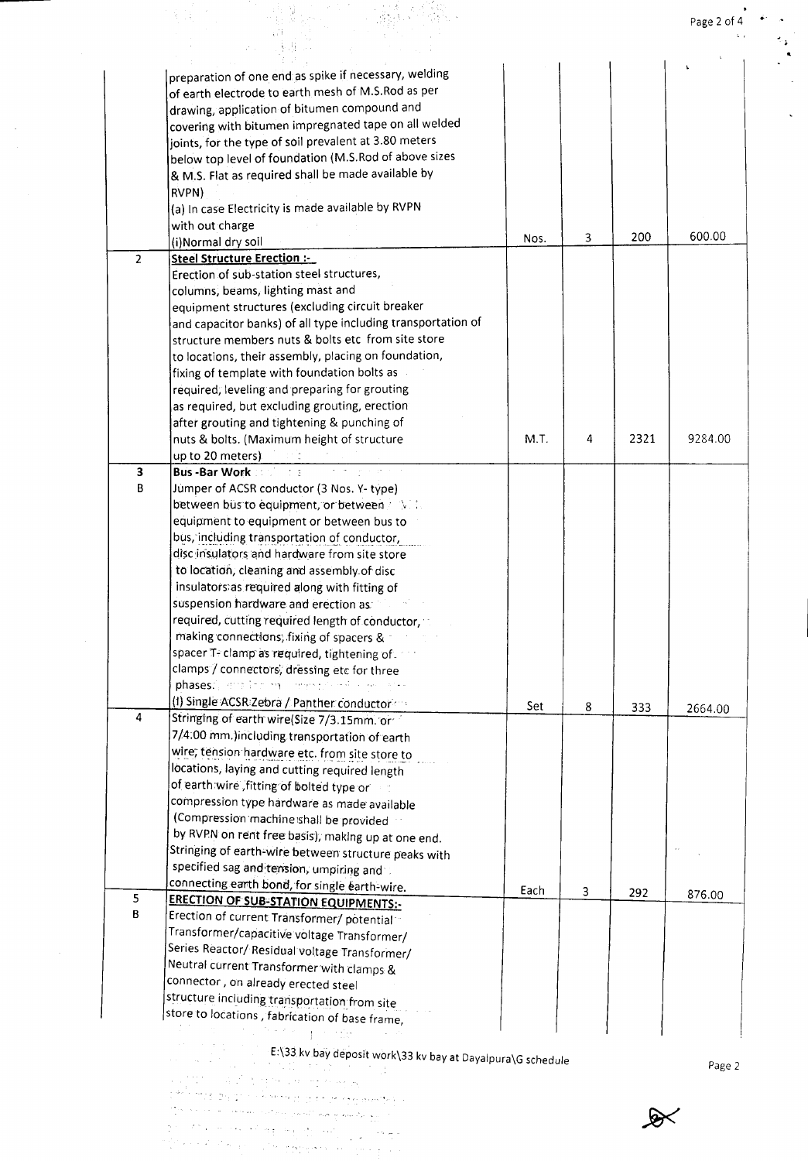$\mathcal{L}^{\pm}$ 

|                         |                                                                                                 |      |   |      | Page 2 of 4 |
|-------------------------|-------------------------------------------------------------------------------------------------|------|---|------|-------------|
|                         |                                                                                                 |      |   |      |             |
|                         |                                                                                                 |      |   |      |             |
|                         | preparation of one end as spike if necessary, welding                                           |      |   |      |             |
|                         | of earth electrode to earth mesh of M.S.Rod as per                                              |      |   |      |             |
|                         | drawing, application of bitumen compound and                                                    |      |   |      |             |
|                         | covering with bitumen impregnated tape on all welded                                            |      |   |      |             |
|                         | joints, for the type of soil prevalent at 3.80 meters                                           |      |   |      |             |
|                         | below top level of foundation (M.S.Rod of above sizes                                           |      |   |      |             |
|                         | & M.S. Flat as required shall be made available by                                              |      |   |      |             |
|                         | RVPN)                                                                                           |      |   |      |             |
|                         | (a) In case Electricity is made available by RVPN                                               |      |   |      |             |
|                         | with out charge                                                                                 |      |   |      |             |
|                         | (i)Normal dry soil                                                                              | Nos. | 3 | 200  | 600.00      |
| $\overline{2}$          | Steel Structure Erection :-                                                                     |      |   |      |             |
|                         | Erection of sub-station steel structures,                                                       |      |   |      |             |
|                         | columns, beams, lighting mast and                                                               |      |   |      |             |
|                         | equipment structures (excluding circuit breaker                                                 |      |   |      |             |
|                         | and capacitor banks) of all type including transportation of                                    |      |   |      |             |
|                         | structure members nuts & bolts etc from site store                                              |      |   |      |             |
|                         | to locations, their assembly, placing on foundation,                                            |      |   |      |             |
|                         | fixing of template with foundation bolts as                                                     |      |   |      |             |
|                         | required; leveling and preparing for grouting                                                   |      |   |      |             |
|                         | as required, but excluding grouting, erection                                                   |      |   |      |             |
|                         | after grouting and tightening & punching of                                                     |      |   |      |             |
|                         | nuts & bolts. (Maximum height of structure                                                      | M.T. | 4 | 2321 | 9284.00     |
|                         | up to 20 meters)                                                                                |      |   |      |             |
| 3                       | Bus - Bar Work and The                                                                          |      |   |      |             |
| В                       | Jumper of ACSR conductor (3 Nos. Y- type)                                                       |      |   |      |             |
|                         | between bus to equipment, or between that is                                                    |      |   |      |             |
|                         | equipment to equipment or between bus to                                                        |      |   |      |             |
|                         | bus, including transportation of conductor,                                                     |      |   |      |             |
|                         | disc insulators and hardware from site store                                                    |      |   |      |             |
|                         | to location, cleaning and assembly of disc                                                      |      |   |      |             |
|                         | insulators as required along with fitting of                                                    |      |   |      |             |
|                         | suspension hardware and erection as:                                                            |      |   |      |             |
|                         | required, cutting required length of conductor,                                                 |      |   |      |             |
|                         | making connections, fixing of spacers &                                                         |      |   |      |             |
|                         | spacer T- clamp as required, tightening of                                                      |      |   |      |             |
|                         | clamps / connectors, dressing etc for three                                                     |      |   |      |             |
|                         | phases.", and income committee with the series                                                  |      |   |      |             |
|                         | (1) Single ACSR Zebra / Panther conductor                                                       |      |   |      |             |
| $\overline{\mathbf{4}}$ | Stringing of earth wire(Size 7/3.15mm. or                                                       | Set  | 8 | 333  | 2664.00     |
|                         | 7/4:00 mm.)including transportation of earth                                                    |      |   |      |             |
|                         | wire, tension hardware etc. from site store to                                                  |      |   |      |             |
|                         | locations, laying and cutting required length                                                   |      |   |      |             |
|                         | of earth wire , fitting of bolted type or                                                       |      |   |      |             |
|                         | compression type hardware as made available                                                     |      |   |      |             |
|                         | (Compression machine shall be provided                                                          |      |   |      |             |
|                         |                                                                                                 |      |   |      |             |
|                         | by RVPN on rent free basis); making up at one end.                                              |      |   |      |             |
|                         | Stringing of earth-wire between structure peaks with                                            |      |   |      |             |
|                         | specified sag and tension, umpiring and                                                         |      |   |      |             |
| 5                       | connecting earth bond, for single earth-wire.                                                   | Each | 3 | 292  | 876.00      |
| B                       | <b>ERECTION OF SUB-STATION EQUIPMENTS:-</b>                                                     |      |   |      |             |
|                         | Erection of current Transformer/ potential <sup>11</sup>                                        |      |   |      |             |
|                         | Transformer/capacitive voltage Transformer/                                                     |      |   |      |             |
|                         | Series Reactor/ Residual voltage Transformer/                                                   |      |   |      |             |
|                         | Neutral current Transformer with clamps &                                                       |      |   |      |             |
|                         | connector, on already erected steel                                                             |      |   |      |             |
|                         |                                                                                                 |      |   |      |             |
|                         | structure including transportation from site<br>store to locations , fabrication of base frame, |      |   |      |             |

 $\sim$   $\sim$ 

E:\33 kv bay deposit work\33 kv bay at Dayalpura\Gschedule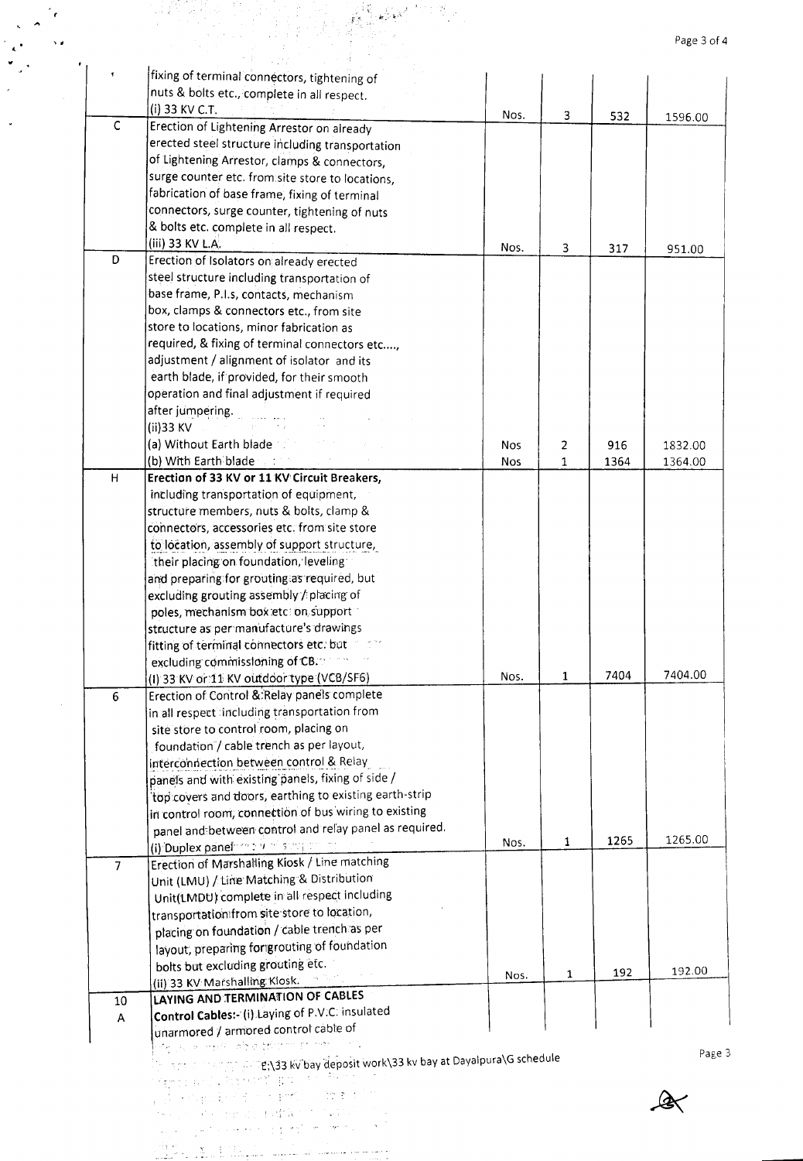|                |                                                                                                                |            |              |      | Page 3 of 4                 |
|----------------|----------------------------------------------------------------------------------------------------------------|------------|--------------|------|-----------------------------|
|                | fixing of terminal connectors, tightening of                                                                   |            |              |      |                             |
|                | nuts & bolts etc., complete in all respect.                                                                    |            |              |      |                             |
|                | (i) 33 KV C.T.                                                                                                 |            |              |      |                             |
| $\mathsf C$    | Erection of Lightening Arrestor on already                                                                     | Nos.       | 3            | 532  | 1596.00                     |
|                | erected steel structure including transportation                                                               |            |              |      |                             |
|                | of Lightening Arrestor, clamps & connectors,                                                                   |            |              |      |                             |
|                | surge counter etc. from site store to locations,                                                               |            |              |      |                             |
|                | fabrication of base frame, fixing of terminal                                                                  |            |              |      |                             |
|                |                                                                                                                |            |              |      |                             |
|                | connectors, surge counter, tightening of nuts                                                                  |            |              |      |                             |
|                | & bolts etc. complete in all respect.<br>(iii) 33 KV L.A.                                                      |            |              |      |                             |
| D              | Erection of Isolators on already erected                                                                       | Nos.       | 3            | 317  | 951.00                      |
|                |                                                                                                                |            |              |      |                             |
|                | steel structure including transportation of                                                                    |            |              |      |                             |
|                | base frame, P.I.s, contacts, mechanism                                                                         |            |              |      |                             |
|                | box, clamps & connectors etc., from site                                                                       |            |              |      |                             |
|                | store to locations, minor fabrication as                                                                       |            |              |      |                             |
|                | required, & fixing of terminal connectors etc,                                                                 |            |              |      |                             |
|                | adjustment / alignment of isolator and its                                                                     |            |              |      |                             |
|                | earth blade, if provided, for their smooth                                                                     |            |              |      |                             |
|                | operation and final adjustment if required                                                                     |            |              |      |                             |
|                | after jumpering.                                                                                               |            |              |      |                             |
|                | (ii)33 KV                                                                                                      |            |              |      |                             |
|                | (a) Without Earth blade                                                                                        | <b>Nos</b> | 2            | 916  | 1832.00                     |
|                | (b) With Earth blade a state                                                                                   | <b>Nos</b> | 1            | 1364 | 1364.00                     |
| Н              | Erection of 33 KV or 11 KV Circuit Breakers,                                                                   |            |              |      |                             |
|                | including transportation of equipment,                                                                         |            |              |      |                             |
|                | structure members, nuts & bolts, clamp &                                                                       |            |              |      |                             |
|                | connectors, accessories etc. from site store                                                                   |            |              |      |                             |
|                | to location, assembly of support structure,                                                                    |            |              |      |                             |
|                | their placing on foundation, leveling                                                                          |            |              |      |                             |
|                | and preparing for grouting as required, but                                                                    |            |              |      |                             |
|                | excluding grouting assembly / placing of                                                                       |            |              |      |                             |
|                | poles, mechanism box etc: on support                                                                           |            |              |      |                             |
|                | structure as per manufacture's drawings                                                                        |            |              |      |                             |
|                | fitting of terminal connectors etc. but                                                                        |            |              |      |                             |
|                | excluding commissioning of CB.                                                                                 |            |              |      |                             |
|                | (I) 33 KV or 11 KV outdoor type (VCB/SF6)                                                                      | Nos.       | $\mathbf{1}$ | 7404 | 7404.00                     |
| 6              | Erection of Control & Relay panels complete                                                                    |            |              |      |                             |
|                | in all respect including transportation from                                                                   |            |              |      |                             |
|                | site store to control room, placing on                                                                         |            |              |      |                             |
|                | foundation / cable trench as per layout,                                                                       |            |              |      |                             |
|                | interconnection between control & Relay                                                                        |            |              |      |                             |
|                | panels and with existing panels, fixing of side /                                                              |            |              |      |                             |
|                | top covers and doors, earthing to existing earth-strip                                                         |            |              |      |                             |
|                | in control room, connection of bus wiring to existing                                                          |            |              |      |                             |
|                |                                                                                                                |            |              |      |                             |
|                | panel and between control and relay panel as required.                                                         |            |              |      |                             |
|                |                                                                                                                | Nos.       | 1            | 1265 |                             |
|                | (i) Duplex panel on the strategy                                                                               |            |              |      |                             |
| $\overline{7}$ | Erection of Marshalling Kiosk / Line matching                                                                  |            |              |      |                             |
|                | Unit (LMU) / Line Matching & Distribution                                                                      |            |              |      |                             |
|                | Unit(LMDU) complete in all respect including                                                                   |            |              |      |                             |
|                | transportation from site store to location,                                                                    |            |              |      |                             |
|                | placing on foundation / cable trench as per                                                                    |            |              |      |                             |
|                | layout, preparing for grouting of foundation                                                                   |            |              |      |                             |
|                | bolts but excluding grouting etc.                                                                              | Nos.       | 1            | 192  |                             |
|                | (ii) 33 KV Marshalling Klosk.                                                                                  |            |              |      |                             |
| 10             | <b>LAYING AND TERMINATION OF CABLES</b>                                                                        |            |              |      |                             |
| A              | Control Cables: (i) Laying of P.V.C. insulated                                                                 |            |              |      |                             |
|                | unarmored / armored control cable of                                                                           |            |              |      |                             |
|                | ste ja je emas je britini primer                                                                               |            |              |      |                             |
|                | $\mathbb{R}^{n}$ and a manifological $\mathbb{R}^{n}$ 33 kv bay deposit work\33 kv bay at Dayalpura\G schedule |            |              |      |                             |
|                | ienco and . Portugal provincial con<br>人员 网络副主张学士 经抽烟 人类增长的的                                                   |            |              |      | 1265.00<br>192.00<br>Page 3 |

والمسترسم للمرواض والمستنبذ